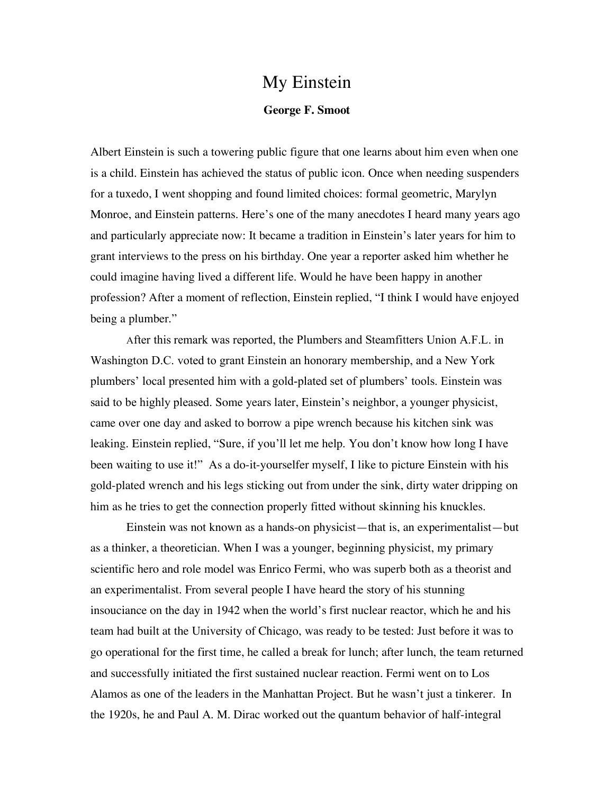## My Einstein

## **George F. Smoot**

Albert Einstein is such a towering public figure that one learns about him even when one is a child. Einstein has achieved the status of public icon. Once when needing suspenders for a tuxedo, I went shopping and found limited choices: formal geometric, Marylyn Monroe, and Einstein patterns. Here's one of the many anecdotes I heard many years ago and particularly appreciate now: It became a tradition in Einstein's later years for him to grant interviews to the press on his birthday. One year a reporter asked him whether he could imagine having lived a different life. Would he have been happy in another profession? After a moment of reflection, Einstein replied, "I think I would have enjoyed being a plumber."

After this remark was reported, the Plumbers and Steamfitters Union A.F.L. in Washington D.C. voted to grant Einstein an honorary membership, and a New York plumbers' local presented him with a gold-plated set of plumbers' tools. Einstein was said to be highly pleased. Some years later, Einstein's neighbor, a younger physicist, came over one day and asked to borrow a pipe wrench because his kitchen sink was leaking. Einstein replied, "Sure, if you'll let me help. You don't know how long I have been waiting to use it!" As a do-it-yourselfer myself, I like to picture Einstein with his gold-plated wrench and his legs sticking out from under the sink, dirty water dripping on him as he tries to get the connection properly fitted without skinning his knuckles.

Einstein was not known as a hands-on physicist—that is, an experimentalist—but as a thinker, a theoretician. When I was a younger, beginning physicist, my primary scientific hero and role model was Enrico Fermi, who was superb both as a theorist and an experimentalist. From several people I have heard the story of his stunning insouciance on the day in 1942 when the world's first nuclear reactor, which he and his team had built at the University of Chicago, was ready to be tested: Just before it was to go operational for the first time, he called a break for lunch; after lunch, the team returned and successfully initiated the first sustained nuclear reaction. Fermi went on to Los Alamos as one of the leaders in the Manhattan Project. But he wasn't just a tinkerer. In the 1920s, he and Paul A. M. Dirac worked out the quantum behavior of half-integral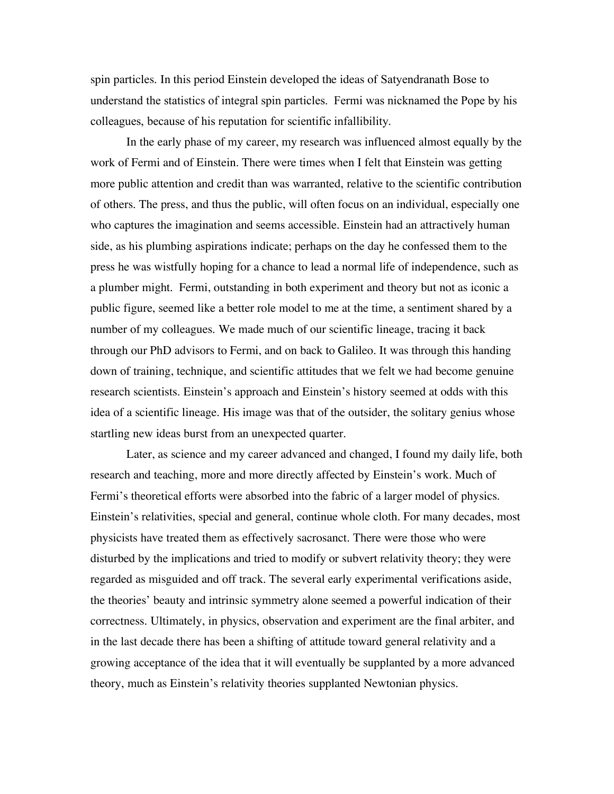spin particles. In this period Einstein developed the ideas of Satyendranath Bose to understand the statistics of integral spin particles. Fermi was nicknamed the Pope by his colleagues, because of his reputation for scientific infallibility.

In the early phase of my career, my research was influenced almost equally by the work of Fermi and of Einstein. There were times when I felt that Einstein was getting more public attention and credit than was warranted, relative to the scientific contribution of others. The press, and thus the public, will often focus on an individual, especially one who captures the imagination and seems accessible. Einstein had an attractively human side, as his plumbing aspirations indicate; perhaps on the day he confessed them to the press he was wistfully hoping for a chance to lead a normal life of independence, such as a plumber might. Fermi, outstanding in both experiment and theory but not as iconic a public figure, seemed like a better role model to me at the time, a sentiment shared by a number of my colleagues. We made much of our scientific lineage, tracing it back through our PhD advisors to Fermi, and on back to Galileo. It was through this handing down of training, technique, and scientific attitudes that we felt we had become genuine research scientists. Einstein's approach and Einstein's history seemed at odds with this idea of a scientific lineage. His image was that of the outsider, the solitary genius whose startling new ideas burst from an unexpected quarter.

Later, as science and my career advanced and changed, I found my daily life, both research and teaching, more and more directly affected by Einstein's work. Much of Fermi's theoretical efforts were absorbed into the fabric of a larger model of physics. Einstein's relativities, special and general, continue whole cloth. For many decades, most physicists have treated them as effectively sacrosanct. There were those who were disturbed by the implications and tried to modify or subvert relativity theory; they were regarded as misguided and off track. The several early experimental verifications aside, the theories' beauty and intrinsic symmetry alone seemed a powerful indication of their correctness. Ultimately, in physics, observation and experiment are the final arbiter, and in the last decade there has been a shifting of attitude toward general relativity and a growing acceptance of the idea that it will eventually be supplanted by a more advanced theory, much as Einstein's relativity theories supplanted Newtonian physics.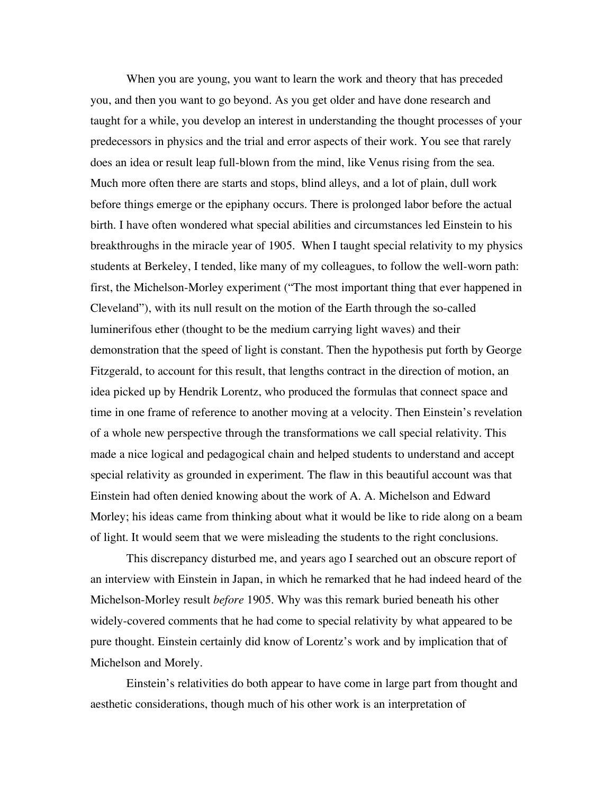When you are young, you want to learn the work and theory that has preceded you, and then you want to go beyond. As you get older and have done research and taught for a while, you develop an interest in understanding the thought processes of your predecessors in physics and the trial and error aspects of their work. You see that rarely does an idea or result leap full-blown from the mind, like Venus rising from the sea. Much more often there are starts and stops, blind alleys, and a lot of plain, dull work before things emerge or the epiphany occurs. There is prolonged labor before the actual birth. I have often wondered what special abilities and circumstances led Einstein to his breakthroughs in the miracle year of 1905. When I taught special relativity to my physics students at Berkeley, I tended, like many of my colleagues, to follow the well-worn path: first, the Michelson-Morley experiment ("The most important thing that ever happened in Cleveland"), with its null result on the motion of the Earth through the so-called luminerifous ether (thought to be the medium carrying light waves) and their demonstration that the speed of light is constant. Then the hypothesis put forth by George Fitzgerald, to account for this result, that lengths contract in the direction of motion, an idea picked up by Hendrik Lorentz, who produced the formulas that connect space and time in one frame of reference to another moving at a velocity. Then Einstein's revelation of a whole new perspective through the transformations we call special relativity. This made a nice logical and pedagogical chain and helped students to understand and accept special relativity as grounded in experiment. The flaw in this beautiful account was that Einstein had often denied knowing about the work of A. A. Michelson and Edward Morley; his ideas came from thinking about what it would be like to ride along on a beam of light. It would seem that we were misleading the students to the right conclusions.

This discrepancy disturbed me, and years ago I searched out an obscure report of an interview with Einstein in Japan, in which he remarked that he had indeed heard of the Michelson-Morley result *before* 1905. Why was this remark buried beneath his other widely-covered comments that he had come to special relativity by what appeared to be pure thought. Einstein certainly did know of Lorentz's work and by implication that of Michelson and Morely.

Einstein's relativities do both appear to have come in large part from thought and aesthetic considerations, though much of his other work is an interpretation of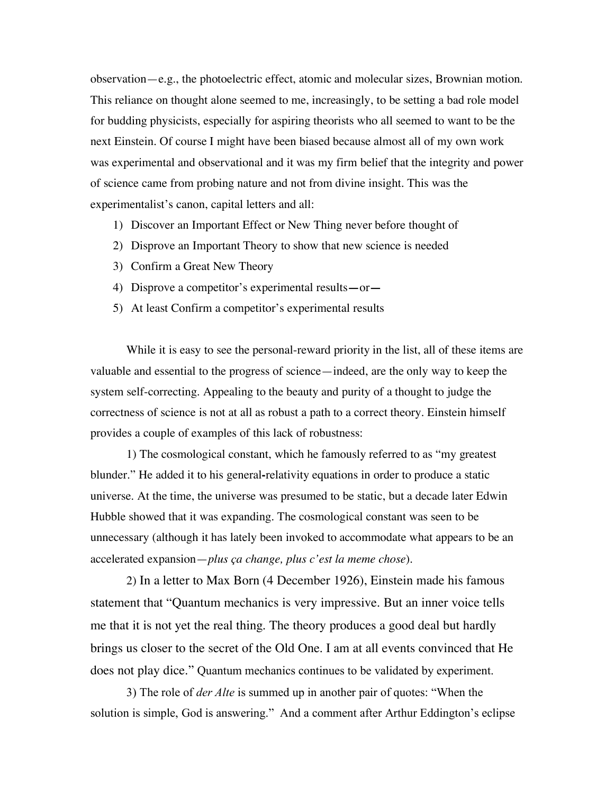observation—e.g., the photoelectric effect, atomic and molecular sizes, Brownian motion. This reliance on thought alone seemed to me, increasingly, to be setting a bad role model for budding physicists, especially for aspiring theorists who all seemed to want to be the next Einstein. Of course I might have been biased because almost all of my own work was experimental and observational and it was my firm belief that the integrity and power of science came from probing nature and not from divine insight. This was the experimentalist's canon, capital letters and all:

- 1) Discover an Important Effect or New Thing never before thought of
- 2) Disprove an Important Theory to show that new science is needed
- 3) Confirm a Great New Theory
- 4) Disprove a competitor's experimental results**—**or**—**
- 5) At least Confirm a competitor's experimental results

While it is easy to see the personal-reward priority in the list, all of these items are valuable and essential to the progress of science—indeed, are the only way to keep the system self-correcting. Appealing to the beauty and purity of a thought to judge the correctness of science is not at all as robust a path to a correct theory. Einstein himself provides a couple of examples of this lack of robustness:

1) The cosmological constant, which he famously referred to as "my greatest blunder." He added it to his general**-**relativity equations in order to produce a static universe. At the time, the universe was presumed to be static, but a decade later Edwin Hubble showed that it was expanding. The cosmological constant was seen to be unnecessary (although it has lately been invoked to accommodate what appears to be an accelerated expansion—*plus ça change, plus c'est la meme chose*).

2) In a letter to Max Born (4 December 1926), Einstein made his famous statement that "Quantum mechanics is very impressive. But an inner voice tells me that it is not yet the real thing. The theory produces a good deal but hardly brings us closer to the secret of the Old One. I am at all events convinced that He does not play dice." Quantum mechanics continues to be validated by experiment.

3) The role of *der Alte* is summed up in another pair of quotes: "When the solution is simple, God is answering." And a comment after Arthur Eddington's eclipse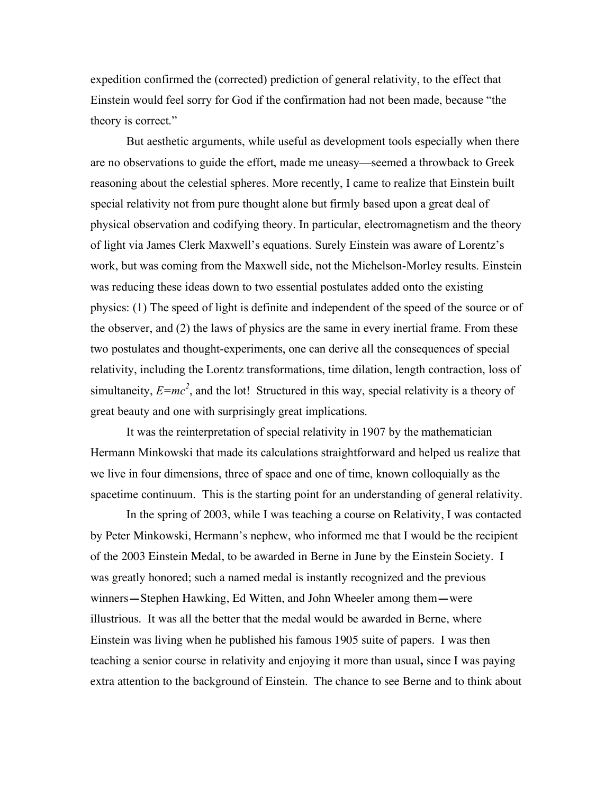expedition confirmed the (corrected) prediction of general relativity, to the effect that Einstein would feel sorry for God if the confirmation had not been made, because "the theory is correct."

But aesthetic arguments, while useful as development tools especially when there are no observations to guide the effort, made me uneasy—seemed a throwback to Greek reasoning about the celestial spheres. More recently, I came to realize that Einstein built special relativity not from pure thought alone but firmly based upon a great deal of physical observation and codifying theory. In particular, electromagnetism and the theory of light via James Clerk Maxwell's equations. Surely Einstein was aware of Lorentz's work, but was coming from the Maxwell side, not the Michelson-Morley results. Einstein was reducing these ideas down to two essential postulates added onto the existing physics: (1) The speed of light is definite and independent of the speed of the source or of the observer, and (2) the laws of physics are the same in every inertial frame. From these two postulates and thought-experiments, one can derive all the consequences of special relativity, including the Lorentz transformations, time dilation, length contraction, loss of simultaneity,  $E=mc^2$ , and the lot! Structured in this way, special relativity is a theory of great beauty and one with surprisingly great implications.

It was the reinterpretation of special relativity in 1907 by the mathematician Hermann Minkowski that made its calculations straightforward and helped us realize that we live in four dimensions, three of space and one of time, known colloquially as the spacetime continuum. This is the starting point for an understanding of general relativity.

In the spring of 2003, while I was teaching a course on Relativity, I was contacted by Peter Minkowski, Hermann's nephew, who informed me that I would be the recipient of the 2003 Einstein Medal, to be awarded in Berne in June by the Einstein Society. I was greatly honored; such a named medal is instantly recognized and the previous winners**—**Stephen Hawking, Ed Witten, and John Wheeler among them**—**were illustrious. It was all the better that the medal would be awarded in Berne, where Einstein was living when he published his famous 1905 suite of papers. I was then teaching a senior course in relativity and enjoying it more than usual**,** since I was paying extra attention to the background of Einstein. The chance to see Berne and to think about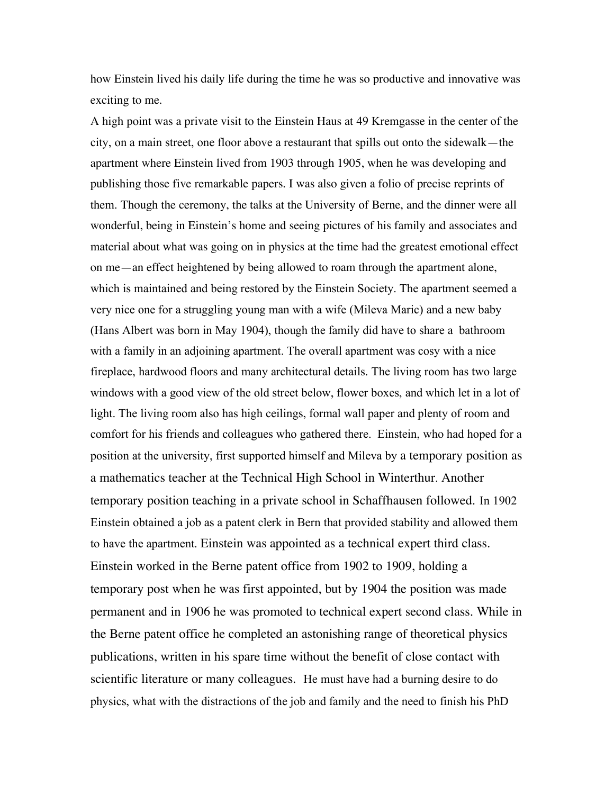how Einstein lived his daily life during the time he was so productive and innovative was exciting to me.

A high point was a private visit to the Einstein Haus at 49 Kremgasse in the center of the city, on a main street, one floor above a restaurant that spills out onto the sidewalk—the apartment where Einstein lived from 1903 through 1905, when he was developing and publishing those five remarkable papers. I was also given a folio of precise reprints of them. Though the ceremony, the talks at the University of Berne, and the dinner were all wonderful, being in Einstein's home and seeing pictures of his family and associates and material about what was going on in physics at the time had the greatest emotional effect on me—an effect heightened by being allowed to roam through the apartment alone, which is maintained and being restored by the Einstein Society. The apartment seemed a very nice one for a struggling young man with a wife (Mileva Maric) and a new baby (Hans Albert was born in May 1904), though the family did have to share a bathroom with a family in an adjoining apartment. The overall apartment was cosy with a nice fireplace, hardwood floors and many architectural details. The living room has two large windows with a good view of the old street below, flower boxes, and which let in a lot of light. The living room also has high ceilings, formal wall paper and plenty of room and comfort for his friends and colleagues who gathered there. Einstein, who had hoped for a position at the university, first supported himself and Mileva by a temporary position as a mathematics teacher at the Technical High School in Winterthur. Another temporary position teaching in a private school in Schaffhausen followed. In 1902 Einstein obtained a job as a patent clerk in Bern that provided stability and allowed them to have the apartment. Einstein was appointed as a technical expert third class. Einstein worked in the Berne patent office from 1902 to 1909, holding a temporary post when he was first appointed, but by 1904 the position was made permanent and in 1906 he was promoted to technical expert second class. While in the Berne patent office he completed an astonishing range of theoretical physics publications, written in his spare time without the benefit of close contact with scientific literature or many colleagues. He must have had a burning desire to do physics, what with the distractions of the job and family and the need to finish his PhD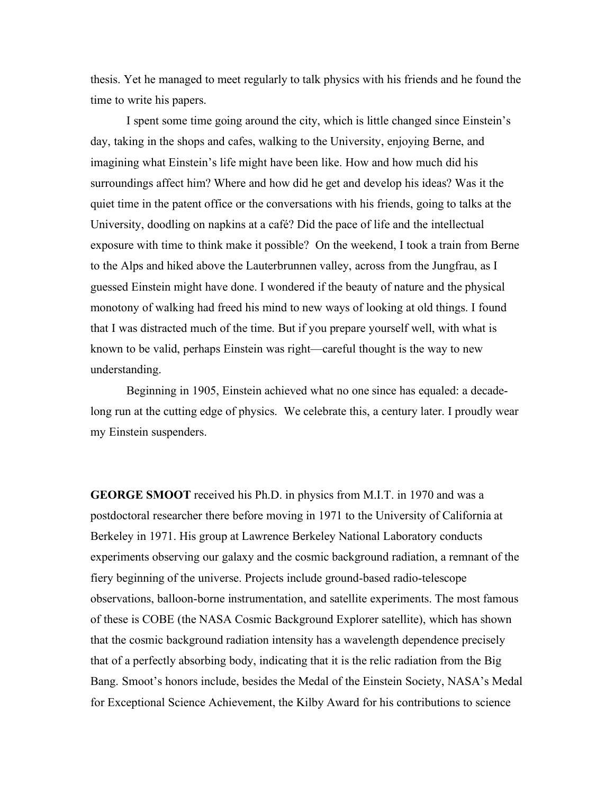thesis. Yet he managed to meet regularly to talk physics with his friends and he found the time to write his papers.

I spent some time going around the city, which is little changed since Einstein's day, taking in the shops and cafes, walking to the University, enjoying Berne, and imagining what Einstein's life might have been like. How and how much did his surroundings affect him? Where and how did he get and develop his ideas? Was it the quiet time in the patent office or the conversations with his friends, going to talks at the University, doodling on napkins at a café? Did the pace of life and the intellectual exposure with time to think make it possible? On the weekend, I took a train from Berne to the Alps and hiked above the Lauterbrunnen valley, across from the Jungfrau, as I guessed Einstein might have done. I wondered if the beauty of nature and the physical monotony of walking had freed his mind to new ways of looking at old things. I found that I was distracted much of the time. But if you prepare yourself well, with what is known to be valid, perhaps Einstein was right—careful thought is the way to new understanding.

Beginning in 1905, Einstein achieved what no one since has equaled: a decadelong run at the cutting edge of physics. We celebrate this, a century later. I proudly wear my Einstein suspenders.

**GEORGE SMOOT** received his Ph.D. in physics from M.I.T. in 1970 and was a postdoctoral researcher there before moving in 1971 to the University of California at Berkeley in 1971. His group at Lawrence Berkeley National Laboratory conducts experiments observing our galaxy and the cosmic background radiation, a remnant of the fiery beginning of the universe. Projects include ground-based radio-telescope observations, balloon-borne instrumentation, and satellite experiments. The most famous of these is COBE (the NASA Cosmic Background Explorer satellite), which has shown that the cosmic background radiation intensity has a wavelength dependence precisely that of a perfectly absorbing body, indicating that it is the relic radiation from the Big Bang. Smoot's honors include, besides the Medal of the Einstein Society, NASA's Medal for Exceptional Science Achievement, the Kilby Award for his contributions to science